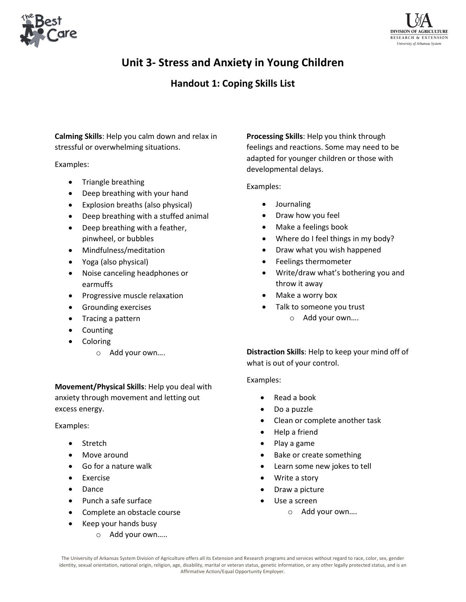



## **Unit 3- Stress and Anxiety in Young Children**

### **Handout 1: Coping Skills List**

**Calming Skills**: Help you calm down and relax in stressful or overwhelming situations.

Examples:

- Triangle breathing
- Deep breathing with your hand
- Explosion breaths (also physical)
- Deep breathing with a stuffed animal
- Deep breathing with a feather, pinwheel, or bubbles
- Mindfulness/meditation
- Yoga (also physical)
- Noise canceling headphones or earmuffs
- Progressive muscle relaxation
- Grounding exercises
- Tracing a pattern
- Counting
- Coloring
	- o Add your own….

**Movement/Physical Skills**: Help you deal with anxiety through movement and letting out excess energy.

#### Examples:

- Stretch
- Move around
- Go for a nature walk
- Exercise
- Dance
- Punch a safe surface
- Complete an obstacle course
- Keep your hands busy
	- o Add your own…..

**Processing Skills**: Help you think through feelings and reactions. Some may need to be adapted for younger children or those with developmental delays.

#### Examples:

- Journaling
- Draw how you feel
- Make a feelings book
- Where do I feel things in my body?
- Draw what you wish happened
- Feelings thermometer
- Write/draw what's bothering you and throw it away
- Make a worry box
- Talk to someone you trust
	- o Add your own….

**Distraction Skills**: Help to keep your mind off of what is out of your control.

#### Examples:

- Read a book
- Do a puzzle
- Clean or complete another task
- Help a friend
- Play a game
- Bake or create something
- Learn some new jokes to tell
- Write a story
- Draw a picture
- Use a screen
	- o Add your own….

The University of Arkansas System Division of Agriculture offers all its Extension and Research programs and services without regard to race, color, sex, gender identity, sexual orientation, national origin, religion, age, disability, marital or veteran status, genetic information, or any other legally protected status, and is an Affirmative Action/Equal Opportunity Employer.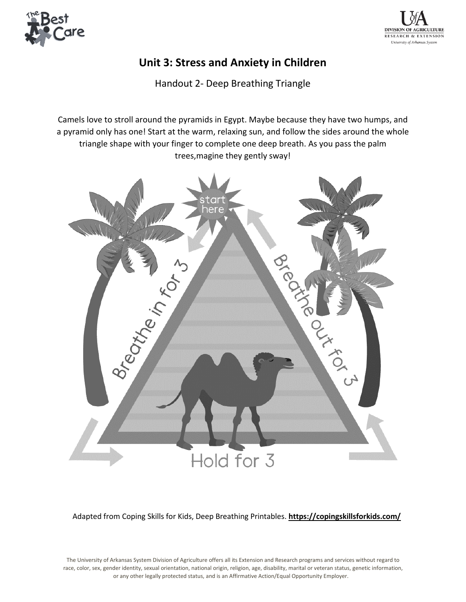



## **Unit 3: Stress and Anxiety in Children**

Handout 2- Deep Breathing Triangle

Camels love to stroll around the pyramids in Egypt. Maybe because they have two humps, and a pyramid only has one! Start at the warm, relaxing sun, and follow the sides around the whole triangle shape with your finger to complete one deep breath. As you pass the palm trees,magine they gently sway!



Adapted from Coping Skills for Kids, Deep Breathing Printables. **https://copingskillsforkids.com/**

The University of Arkansas System Division of Agriculture offers all its Extension and Research programs and services without regard to race, color, sex, gender identity, sexual orientation, national origin, religion, age, disability, marital or veteran status, genetic information, or any other legally protected status, and is an Affirmative Action/Equal Opportunity Employer.